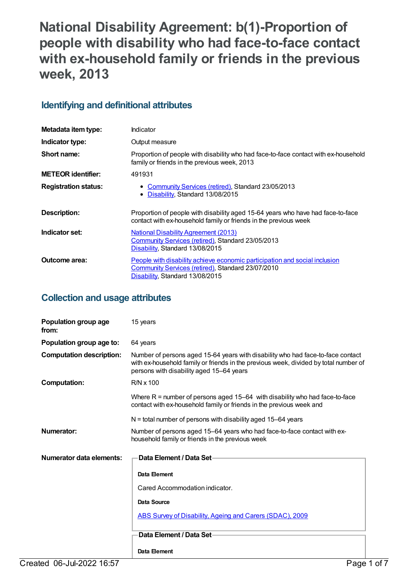# **National Disability Agreement: b(1)-Proportion of people with disability who had face-to-face contact with ex-household family or friends in the previous week, 2013**

## **Identifying and definitional attributes**

| Metadata item type:         | Indicator                                                                                                                                                          |
|-----------------------------|--------------------------------------------------------------------------------------------------------------------------------------------------------------------|
| Indicator type:             | Output measure                                                                                                                                                     |
| Short name:                 | Proportion of people with disability who had face-to-face contact with ex-household<br>family or friends in the previous week, 2013                                |
| <b>METEOR identifier:</b>   | 491931                                                                                                                                                             |
| <b>Registration status:</b> | <b>Community Services (retired), Standard 23/05/2013</b><br>Disability, Standard 13/08/2015                                                                        |
| Description:                | Proportion of people with disability aged 15-64 years who have had face-to-face<br>contact with ex-household family or friends in the previous week                |
| Indicator set:              | <b>National Disability Agreement (2013)</b><br>Community Services (retired), Standard 23/05/2013<br>Disability, Standard 13/08/2015                                |
| Outcome area:               | People with disability achieve economic participation and social inclusion<br>Community Services (retired), Standard 23/07/2010<br>Disability, Standard 13/08/2015 |

## **Collection and usage attributes**

| Population group age<br>from:   | 15 years                                                                                                                                                                                                            |
|---------------------------------|---------------------------------------------------------------------------------------------------------------------------------------------------------------------------------------------------------------------|
| Population group age to:        | 64 years                                                                                                                                                                                                            |
| <b>Computation description:</b> | Number of persons aged 15-64 years with disability who had face-to-face contact<br>with ex-household family or friends in the previous week, divided by total number of<br>persons with disability aged 15-64 years |
| <b>Computation:</b>             | $R/N \times 100$                                                                                                                                                                                                    |
|                                 | Where $R =$ number of persons aged 15–64 with disability who had face-to-face<br>contact with ex-household family or friends in the previous week and                                                               |
|                                 | $N =$ total number of persons with disability aged 15–64 years                                                                                                                                                      |
| Numerator:                      | Number of persons aged 15–64 years who had face-to-face contact with ex-<br>household family or friends in the previous week                                                                                        |
| Numerator data elements:        | Data Element / Data Set-                                                                                                                                                                                            |
|                                 | Data Element                                                                                                                                                                                                        |
|                                 | Cared Accommodation indicator.                                                                                                                                                                                      |
|                                 | Data Source                                                                                                                                                                                                         |
|                                 | ABS Survey of Disability, Ageing and Carers (SDAC), 2009                                                                                                                                                            |
|                                 | Data Element / Data Set-                                                                                                                                                                                            |
|                                 | Data Element                                                                                                                                                                                                        |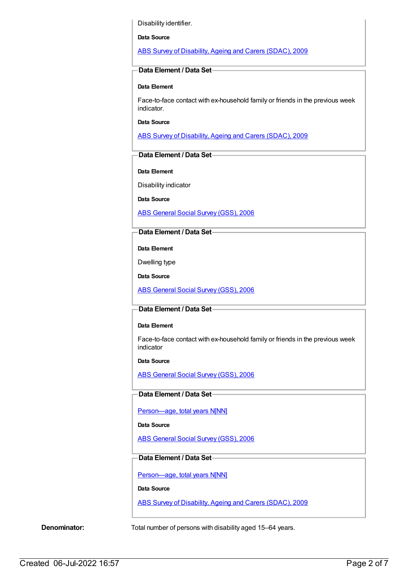Disability identifier.

**Data Source**

ABS Survey of [Disability,](https://meteor.aihw.gov.au/content/445288) Ageing and Carers (SDAC), 2009

### **Data Element / Data Set**

#### **Data Element**

Face-to-face contact with ex-household family or friends in the previous week indicator.

**Data Source**

ABS Survey of [Disability,](https://meteor.aihw.gov.au/content/445288) Ageing and Carers (SDAC), 2009

### **Data Element / Data Set**

**Data Element**

Disability indicator

**Data Source**

ABS [General](https://meteor.aihw.gov.au/content/445291) Social Survey (GSS), 2006

## **Data Element / Data Set**

**Data Element**

Dwelling type

**Data Source**

ABS [General](https://meteor.aihw.gov.au/content/445291) Social Survey (GSS), 2006

#### **Data Element / Data Set**

#### **Data Element**

Face-to-face contact with ex-household family or friends in the previous week indicator

**Data Source**

ABS [General](https://meteor.aihw.gov.au/content/445291) Social Survey (GSS), 2006

## **Data Element / Data Set**

[Person—age,](https://meteor.aihw.gov.au/content/290420) total years N[NN]

#### **Data Source**

ABS [General](https://meteor.aihw.gov.au/content/445291) Social Survey (GSS), 2006

## **Data Element / Data Set**

[Person—age,](https://meteor.aihw.gov.au/content/303794) total years N[NN]

## **Data Source**

ABS Survey of [Disability,](https://meteor.aihw.gov.au/content/445288) Ageing and Carers (SDAC), 2009

**Denominator:** Total number of persons with disability aged 15-64 years.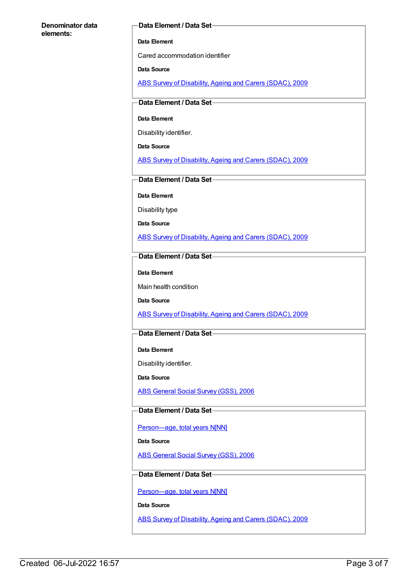#### **Denominator data elements:**

#### **Data Element / Data Set**

#### **Data Element**

Cared accommodation identifier

#### **Data Source**

ABS Survey of [Disability,](https://meteor.aihw.gov.au/content/445288) Ageing and Carers (SDAC), 2009

#### **Data Element / Data Set**

#### **Data Element**

Disability identifier.

**Data Source**

ABS Survey of [Disability,](https://meteor.aihw.gov.au/content/445288) Ageing and Carers (SDAC), 2009

## **Data Element / Data Set**

**Data Element**

Disability type

**Data Source**

ABS Survey of [Disability,](https://meteor.aihw.gov.au/content/445288) Ageing and Carers (SDAC), 2009

## **Data Element / Data Set**

**Data Element**

Main health condition

**Data Source**

ABS Survey of [Disability,](https://meteor.aihw.gov.au/content/445288) Ageing and Carers (SDAC), 2009

## **Data Element / Data Set**

**Data Element**

Disability identifier.

**Data Source**

ABS [General](https://meteor.aihw.gov.au/content/445291) Social Survey (GSS), 2006

#### **Data Element / Data Set**

[Person—age,](https://meteor.aihw.gov.au/content/290420) total years N[NN]

#### **Data Source**

ABS [General](https://meteor.aihw.gov.au/content/445291) Social Survey (GSS), 2006

## **Data Element / Data Set**

[Person—age,](https://meteor.aihw.gov.au/content/303794) total years N[NN]

**Data Source**

ABS Survey of [Disability,](https://meteor.aihw.gov.au/content/445288) Ageing and Carers (SDAC), 2009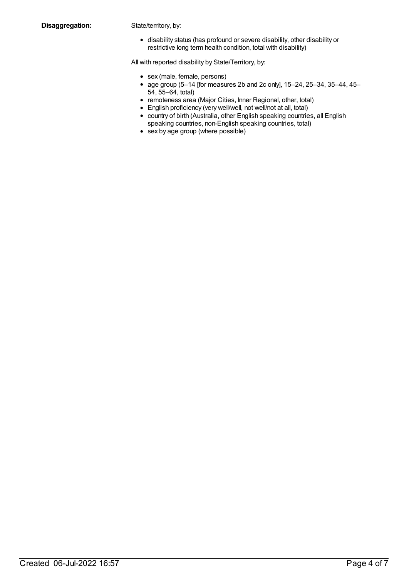disability status (has profound or severe disability, other disability or restrictive long term health condition, total with disability)

All with reported disability by State/Territory, by:

- sex (male, female, persons)
- age group  $(5-14)$  [for measures 2b and 2c only],  $15-24$ ,  $25-34$ ,  $35-44$ ,  $45-$ 54, 55–64, total)
- remoteness area (Major Cities, Inner Regional, other, total)
- English proficiency (very well/well, not well/not at all, total)
- country of birth (Australia, other English speaking countries, all English speaking countries, non-English speaking countries, total)
- sex by age group (where possible)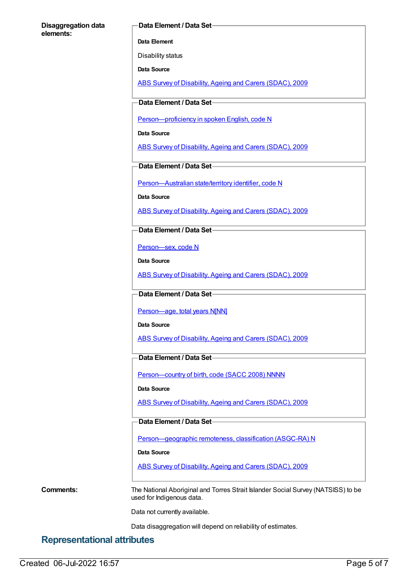#### **Disaggregation data elements:**

#### **Data Element / Data Set**

**Data Element**

Disability status

**Data Source**

ABS Survey of [Disability,](https://meteor.aihw.gov.au/content/445288) Ageing and Carers (SDAC), 2009

**Data Element / Data Set**

[Person—proficiency](https://meteor.aihw.gov.au/content/270203) in spoken English, code N

**Data Source**

ABS Survey of [Disability,](https://meteor.aihw.gov.au/content/445288) Ageing and Carers (SDAC), 2009

**Data Element / Data Set**

[Person—Australian](https://meteor.aihw.gov.au/content/286919) state/territory identifier, code N

**Data Source**

ABS Survey of [Disability,](https://meteor.aihw.gov.au/content/445288) Ageing and Carers (SDAC), 2009

**Data Element / Data Set**

[Person—sex,](https://meteor.aihw.gov.au/content/287316) code N

**Data Source**

ABS Survey of [Disability,](https://meteor.aihw.gov.au/content/445288) Ageing and Carers (SDAC), 2009

## **Data Element / Data Set**

Person-age, total years N[NN]

**Data Source**

ABS Survey of [Disability,](https://meteor.aihw.gov.au/content/445288) Ageing and Carers (SDAC), 2009

## **Data Element / Data Set**

Person-country of birth, code (SACC 2008) NNNN

**Data Source**

ABS Survey of [Disability,](https://meteor.aihw.gov.au/content/445288) Ageing and Carers (SDAC), 2009

**Data Element / Data Set**

[Person—geographic](https://meteor.aihw.gov.au/content/489826) remoteness, classification (ASGC-RA) N

**Data Source**

ABS Survey of [Disability,](https://meteor.aihw.gov.au/content/445288) Ageing and Carers (SDAC), 2009

**Comments:** The National Aboriginal and Torres Strait Islander Social Survey (NATSISS) to be used for Indigenous data.

Data not currently available.

Data disaggregation will depend on reliability of estimates.

## **Representational attributes**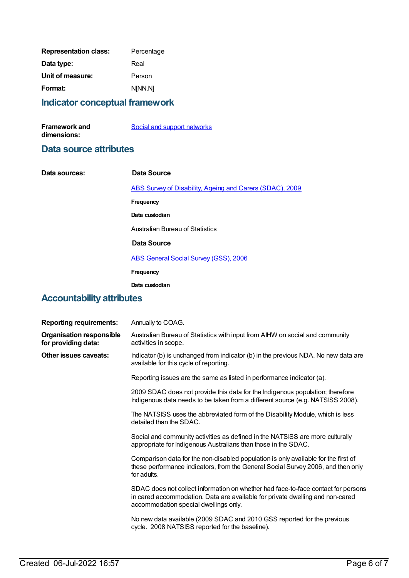| <b>Representation class:</b> | Percentage |
|------------------------------|------------|
| Data type:                   | Real       |
| Unit of measure:             | Person     |
| Format:                      | N[NN.N]    |
|                              |            |

## **Indicator conceptual framework**

| <b>Framework and</b> | Social and support networks |
|----------------------|-----------------------------|
| dimensions:          |                             |

## **Data source attributes**

| Data sources: | Data Source                                              |
|---------------|----------------------------------------------------------|
|               | ABS Survey of Disability, Ageing and Carers (SDAC), 2009 |
|               | Frequency                                                |
|               | Data custodian                                           |
|               | Australian Bureau of Statistics                          |
|               |                                                          |

## **Data Source**

ABS [General](https://meteor.aihw.gov.au/content/445291) Social Survey (GSS), 2006

```
Frequency
```
**Data custodian**

## **Accountability attributes**

| <b>Reporting requirements:</b>                         | Annually to COAG.                                                                                                                                                                                           |
|--------------------------------------------------------|-------------------------------------------------------------------------------------------------------------------------------------------------------------------------------------------------------------|
| <b>Organisation responsible</b><br>for providing data: | Australian Bureau of Statistics with input from AIHW on social and community<br>activities in scope.                                                                                                        |
| <b>Other issues caveats:</b>                           | Indicator (b) is unchanged from indicator (b) in the previous NDA. No new data are<br>available for this cycle of reporting.                                                                                |
|                                                        | Reporting issues are the same as listed in performance indicator (a).                                                                                                                                       |
|                                                        | 2009 SDAC does not provide this data for the Indigenous population; therefore<br>Indigenous data needs to be taken from a different source (e.g. NATSISS 2008).                                             |
|                                                        | The NATSISS uses the abbreviated form of the Disability Module, which is less<br>detailed than the SDAC.                                                                                                    |
|                                                        | Social and community activities as defined in the NATSISS are more culturally<br>appropriate for Indigenous Australians than those in the SDAC.                                                             |
|                                                        | Comparison data for the non-disabled population is only available for the first of<br>these performance indicators, from the General Social Survey 2006, and then only<br>for adults.                       |
|                                                        | SDAC does not collect information on whether had face-to-face contact for persons<br>in cared accommodation. Data are available for private dwelling and non-cared<br>accommodation special dwellings only. |
|                                                        | No new data available (2009 SDAC and 2010 GSS reported for the previous<br>cycle. 2008 NATSISS reported for the baseline).                                                                                  |